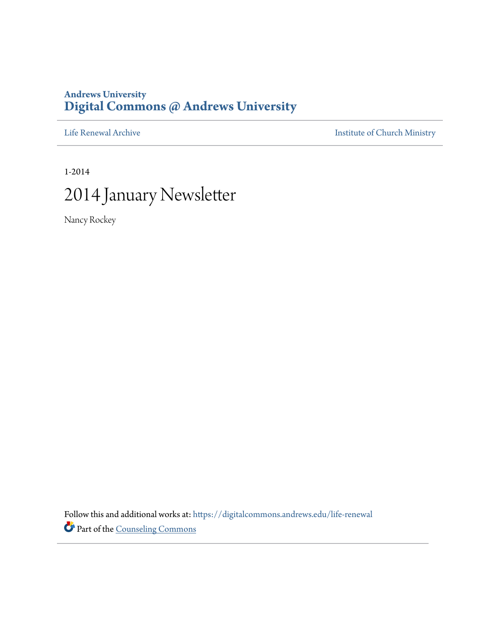### **Andrews University [Digital Commons @ Andrews University](https://digitalcommons.andrews.edu/?utm_source=digitalcommons.andrews.edu%2Flife-renewal%2F57&utm_medium=PDF&utm_campaign=PDFCoverPages)**

[Life Renewal Archive](https://digitalcommons.andrews.edu/life-renewal?utm_source=digitalcommons.andrews.edu%2Flife-renewal%2F57&utm_medium=PDF&utm_campaign=PDFCoverPages) **[Institute of Church Ministry](https://digitalcommons.andrews.edu/icm?utm_source=digitalcommons.andrews.edu%2Flife-renewal%2F57&utm_medium=PDF&utm_campaign=PDFCoverPages)** 

1-2014

# 2014 January Newsletter

Nancy Rockey

Follow this and additional works at: [https://digitalcommons.andrews.edu/life-renewal](https://digitalcommons.andrews.edu/life-renewal?utm_source=digitalcommons.andrews.edu%2Flife-renewal%2F57&utm_medium=PDF&utm_campaign=PDFCoverPages) Part of the [Counseling Commons](http://network.bepress.com/hgg/discipline/1268?utm_source=digitalcommons.andrews.edu%2Flife-renewal%2F57&utm_medium=PDF&utm_campaign=PDFCoverPages)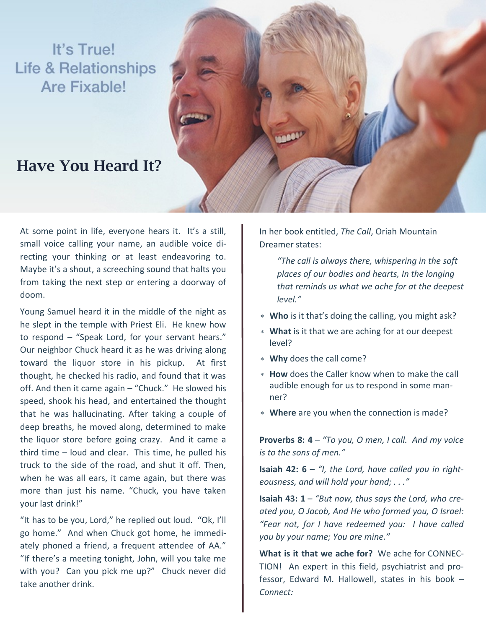# It's True! **Life & Relationships** Are Fixable!

## **Have You Heard It?**



At some point in life, everyone hears it. It's a still, small voice calling your name, an audible voice directing your thinking or at least endeavoring to. Maybe it's a shout, a screeching sound that halts you from taking the next step or entering a doorway of doom.

Young Samuel heard it in the middle of the night as he slept in the temple with Priest Eli. He knew how to respond – "Speak Lord, for your servant hears." Our neighbor Chuck heard it as he was driving along toward the liquor store in his pickup. At first thought, he checked his radio, and found that it was off. And then it came again – "Chuck." He slowed his speed, shook his head, and entertained the thought that he was hallucinating. After taking a couple of deep breaths, he moved along, determined to make the liquor store before going crazy. And it came a third time – loud and clear. This time, he pulled his truck to the side of the road, and shut it off. Then, when he was all ears, it came again, but there was more than just his name. "Chuck, you have taken your last drink!"

"It has to be you, Lord," he replied out loud. "Ok, I'll go home." And when Chuck got home, he immediately phoned a friend, a frequent attendee of AA." "If there's a meeting tonight, John, will you take me with you? Can you pick me up?" Chuck never did take another drink.

In her book entitled, *The Call*, Oriah Mountain Dreamer states:

*"The call is always there, whispering in the soft places of our bodies and hearts, In the longing that reminds us what we ache for at the deepest level."*

- **Who** is it that's doing the calling, you might ask?
- **What** is it that we are aching for at our deepest level?
- **Why** does the call come?
- **How** does the Caller know when to make the call audible enough for us to respond in some manner?
- **Where** are you when the connection is made?

**Proverbs 8: 4** – *"To you, O men, I call. And my voice is to the sons of men."*

**Isaiah 42: 6** – *"I, the Lord, have called you in righteousness, and will hold your hand; . . ."*

**Isaiah 43: 1** – *"But now, thus says the Lord, who created you, O Jacob, And He who formed you, O Israel: "Fear not, for I have redeemed you: I have called you by your name; You are mine."*

**What is it that we ache for?** We ache for CONNEC-TION! An expert in this field, psychiatrist and professor, Edward M. Hallowell, states in his book – *Connect:*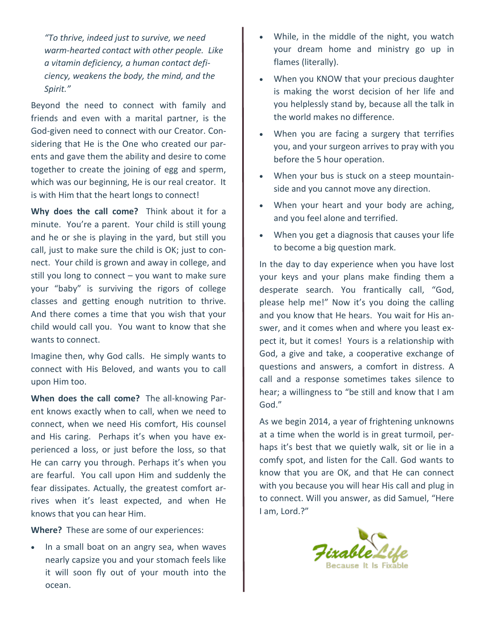*"To thrive, indeed just to survive, we need warm-hearted contact with other people. Like a vitamin deficiency, a human contact deficiency, weakens the body, the mind, and the Spirit."*

Beyond the need to connect with family and friends and even with a marital partner, is the God-given need to connect with our Creator. Considering that He is the One who created our parents and gave them the ability and desire to come together to create the joining of egg and sperm, which was our beginning, He is our real creator. It is with Him that the heart longs to connect!

**Why does the call come?** Think about it for a minute. You're a parent. Your child is still young and he or she is playing in the yard, but still you call, just to make sure the child is OK; just to connect. Your child is grown and away in college, and still you long to connect  $-$  you want to make sure your "baby" is surviving the rigors of college classes and getting enough nutrition to thrive. And there comes a time that you wish that your child would call you. You want to know that she wants to connect.

Imagine then, why God calls. He simply wants to connect with His Beloved, and wants you to call upon Him too.

**When does the call come?** The all-knowing Parent knows exactly when to call, when we need to connect, when we need His comfort, His counsel and His caring. Perhaps it's when you have experienced a loss, or just before the loss, so that He can carry you through. Perhaps it's when you are fearful. You call upon Him and suddenly the fear dissipates. Actually, the greatest comfort arrives when it's least expected, and when He knows that you can hear Him.

**Where?** These are some of our experiences:

• In a small boat on an angry sea, when waves nearly capsize you and your stomach feels like it will soon fly out of your mouth into the ocean.

- While, in the middle of the night, you watch your dream home and ministry go up in flames (literally).
- When you KNOW that your precious daughter is making the worst decision of her life and you helplessly stand by, because all the talk in the world makes no difference.
- When you are facing a surgery that terrifies you, and your surgeon arrives to pray with you before the 5 hour operation.
- When your bus is stuck on a steep mountainside and you cannot move any direction.
- When your heart and your body are aching, and you feel alone and terrified.
- When you get a diagnosis that causes your life to become a big question mark.

In the day to day experience when you have lost your keys and your plans make finding them a desperate search. You frantically call, "God, please help me!" Now it's you doing the calling and you know that He hears. You wait for His answer, and it comes when and where you least expect it, but it comes! Yours is a relationship with God, a give and take, a cooperative exchange of questions and answers, a comfort in distress. A call and a response sometimes takes silence to hear; a willingness to "be still and know that I am God."

As we begin 2014, a year of frightening unknowns at a time when the world is in great turmoil, perhaps it's best that we quietly walk, sit or lie in a comfy spot, and listen for the Call. God wants to know that you are OK, and that He can connect with you because you will hear His call and plug in to connect. Will you answer, as did Samuel, "Here I am, Lord.?"